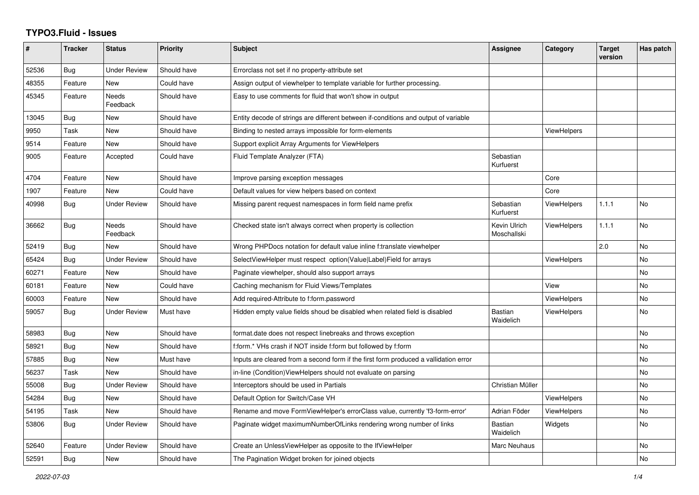## **TYPO3.Fluid - Issues**

| #     | <b>Tracker</b> | <b>Status</b>       | Priority    | <b>Subject</b>                                                                       | <b>Assignee</b>             | Category           | <b>Target</b><br>version | Has patch |
|-------|----------------|---------------------|-------------|--------------------------------------------------------------------------------------|-----------------------------|--------------------|--------------------------|-----------|
| 52536 | Bug            | <b>Under Review</b> | Should have | Errorclass not set if no property-attribute set                                      |                             |                    |                          |           |
| 48355 | Feature        | <b>New</b>          | Could have  | Assign output of viewhelper to template variable for further processing.             |                             |                    |                          |           |
| 45345 | Feature        | Needs<br>Feedback   | Should have | Easy to use comments for fluid that won't show in output                             |                             |                    |                          |           |
| 13045 | Bug            | New                 | Should have | Entity decode of strings are different between if-conditions and output of variable  |                             |                    |                          |           |
| 9950  | Task           | New                 | Should have | Binding to nested arrays impossible for form-elements                                |                             | <b>ViewHelpers</b> |                          |           |
| 9514  | Feature        | <b>New</b>          | Should have | Support explicit Array Arguments for ViewHelpers                                     |                             |                    |                          |           |
| 9005  | Feature        | Accepted            | Could have  | Fluid Template Analyzer (FTA)                                                        | Sebastian<br>Kurfuerst      |                    |                          |           |
| 4704  | Feature        | <b>New</b>          | Should have | Improve parsing exception messages                                                   |                             | Core               |                          |           |
| 1907  | Feature        | New                 | Could have  | Default values for view helpers based on context                                     |                             | Core               |                          |           |
| 40998 | <b>Bug</b>     | Under Review        | Should have | Missing parent request namespaces in form field name prefix                          | Sebastian<br>Kurfuerst      | ViewHelpers        | 1.1.1                    | <b>No</b> |
| 36662 | Bug            | Needs<br>Feedback   | Should have | Checked state isn't always correct when property is collection                       | Kevin Ulrich<br>Moschallski | <b>ViewHelpers</b> | 1.1.1                    | No        |
| 52419 | Bug            | New                 | Should have | Wrong PHPDocs notation for default value inline f:translate viewhelper               |                             |                    | 2.0                      | No        |
| 65424 | Bug            | <b>Under Review</b> | Should have | SelectViewHelper must respect option(Value Label)Field for arrays                    |                             | <b>ViewHelpers</b> |                          | <b>No</b> |
| 60271 | Feature        | <b>New</b>          | Should have | Paginate viewhelper, should also support arrays                                      |                             |                    |                          | No        |
| 60181 | Feature        | <b>New</b>          | Could have  | Caching mechanism for Fluid Views/Templates                                          |                             | View               |                          | No        |
| 60003 | Feature        | <b>New</b>          | Should have | Add required-Attribute to f:form.password                                            |                             | <b>ViewHelpers</b> |                          | No        |
| 59057 | Bug            | <b>Under Review</b> | Must have   | Hidden empty value fields shoud be disabled when related field is disabled           | <b>Bastian</b><br>Waidelich | <b>ViewHelpers</b> |                          | No        |
| 58983 | Bug            | New                 | Should have | format.date does not respect linebreaks and throws exception                         |                             |                    |                          | No        |
| 58921 | Bug            | <b>New</b>          | Should have | f:form.* VHs crash if NOT inside f:form but followed by f:form                       |                             |                    |                          | No        |
| 57885 | Bug            | <b>New</b>          | Must have   | Inputs are cleared from a second form if the first form produced a vallidation error |                             |                    |                          | No        |
| 56237 | Task           | <b>New</b>          | Should have | in-line (Condition) View Helpers should not evaluate on parsing                      |                             |                    |                          | No        |
| 55008 | Bug            | <b>Under Review</b> | Should have | Interceptors should be used in Partials                                              | Christian Müller            |                    |                          | No        |
| 54284 | Bug            | New                 | Should have | Default Option for Switch/Case VH                                                    |                             | ViewHelpers        |                          | No        |
| 54195 | Task           | <b>New</b>          | Should have | Rename and move FormViewHelper's errorClass value, currently 'f3-form-error'         | Adrian Föder                | ViewHelpers        |                          | No        |
| 53806 | Bug            | <b>Under Review</b> | Should have | Paginate widget maximumNumberOfLinks rendering wrong number of links                 | Bastian<br>Waidelich        | Widgets            |                          | No        |
| 52640 | Feature        | <b>Under Review</b> | Should have | Create an UnlessViewHelper as opposite to the IfViewHelper                           | Marc Neuhaus                |                    |                          | No        |
| 52591 | <b>Bug</b>     | <b>New</b>          | Should have | The Pagination Widget broken for joined objects                                      |                             |                    |                          | No        |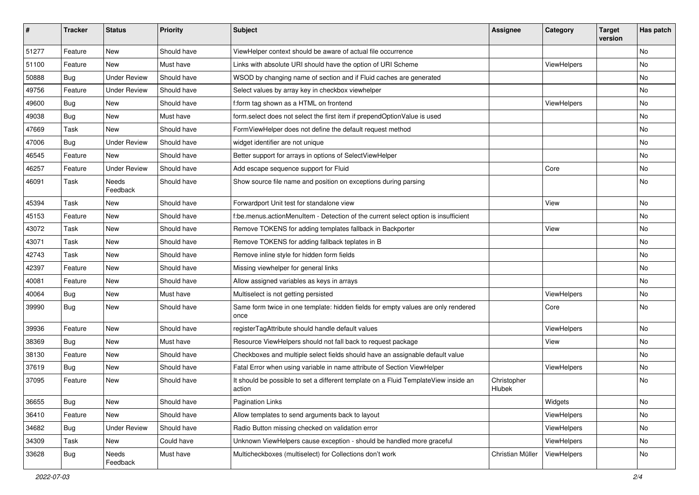| #     | <b>Tracker</b> | <b>Status</b>            | <b>Priority</b> | Subject                                                                                       | <b>Assignee</b>       | Category           | <b>Target</b><br>version | Has patch |
|-------|----------------|--------------------------|-----------------|-----------------------------------------------------------------------------------------------|-----------------------|--------------------|--------------------------|-----------|
| 51277 | Feature        | New                      | Should have     | ViewHelper context should be aware of actual file occurrence                                  |                       |                    |                          | <b>No</b> |
| 51100 | Feature        | New                      | Must have       | Links with absolute URI should have the option of URI Scheme                                  |                       | ViewHelpers        |                          | No        |
| 50888 | Bug            | <b>Under Review</b>      | Should have     | WSOD by changing name of section and if Fluid caches are generated                            |                       |                    |                          | No        |
| 49756 | Feature        | <b>Under Review</b>      | Should have     | Select values by array key in checkbox viewhelper                                             |                       |                    |                          | No        |
| 49600 | Bug            | New                      | Should have     | f:form tag shown as a HTML on frontend                                                        |                       | ViewHelpers        |                          | No        |
| 49038 | Bug            | New                      | Must have       | form.select does not select the first item if prependOptionValue is used                      |                       |                    |                          | <b>No</b> |
| 47669 | Task           | New                      | Should have     | FormViewHelper does not define the default request method                                     |                       |                    |                          | No        |
| 47006 | Bug            | <b>Under Review</b>      | Should have     | widget identifier are not unique                                                              |                       |                    |                          | No        |
| 46545 | Feature        | <b>New</b>               | Should have     | Better support for arrays in options of SelectViewHelper                                      |                       |                    |                          | <b>No</b> |
| 46257 | Feature        | <b>Under Review</b>      | Should have     | Add escape sequence support for Fluid                                                         |                       | Core               |                          | No        |
| 46091 | Task           | <b>Needs</b><br>Feedback | Should have     | Show source file name and position on exceptions during parsing                               |                       |                    |                          | <b>No</b> |
| 45394 | Task           | New                      | Should have     | Forwardport Unit test for standalone view                                                     |                       | View               |                          | No        |
| 45153 | Feature        | New                      | Should have     | f:be.menus.actionMenuItem - Detection of the current select option is insufficient            |                       |                    |                          | <b>No</b> |
| 43072 | Task           | New                      | Should have     | Remove TOKENS for adding templates fallback in Backporter                                     |                       | View               |                          | No        |
| 43071 | Task           | New                      | Should have     | Remove TOKENS for adding fallback teplates in B                                               |                       |                    |                          | No        |
| 42743 | Task           | New                      | Should have     | Remove inline style for hidden form fields                                                    |                       |                    |                          | No        |
| 42397 | Feature        | New                      | Should have     | Missing viewhelper for general links                                                          |                       |                    |                          | No        |
| 40081 | Feature        | <b>New</b>               | Should have     | Allow assigned variables as keys in arrays                                                    |                       |                    |                          | <b>No</b> |
| 40064 | Bug            | New                      | Must have       | Multiselect is not getting persisted                                                          |                       | ViewHelpers        |                          | No        |
| 39990 | Bug            | New                      | Should have     | Same form twice in one template: hidden fields for empty values are only rendered<br>once     |                       | Core               |                          | <b>No</b> |
| 39936 | Feature        | <b>New</b>               | Should have     | registerTagAttribute should handle default values                                             |                       | <b>ViewHelpers</b> |                          | No        |
| 38369 | <b>Bug</b>     | New                      | Must have       | Resource ViewHelpers should not fall back to request package                                  |                       | View               |                          | No        |
| 38130 | Feature        | New                      | Should have     | Checkboxes and multiple select fields should have an assignable default value                 |                       |                    |                          | No        |
| 37619 | Bug            | New                      | Should have     | Fatal Error when using variable in name attribute of Section ViewHelper                       |                       | ViewHelpers        |                          | No        |
| 37095 | Feature        | New                      | Should have     | It should be possible to set a different template on a Fluid TemplateView inside an<br>action | Christopher<br>Hlubek |                    |                          | No        |
| 36655 | Bug            | New                      | Should have     | <b>Pagination Links</b>                                                                       |                       | Widgets            |                          | No        |
| 36410 | Feature        | New                      | Should have     | Allow templates to send arguments back to layout                                              |                       | ViewHelpers        |                          | No        |
| 34682 | <b>Bug</b>     | <b>Under Review</b>      | Should have     | Radio Button missing checked on validation error                                              |                       | ViewHelpers        |                          | No        |
| 34309 | Task           | New                      | Could have      | Unknown ViewHelpers cause exception - should be handled more graceful                         |                       | ViewHelpers        |                          | No        |
| 33628 | <b>Bug</b>     | Needs<br>Feedback        | Must have       | Multicheckboxes (multiselect) for Collections don't work                                      | Christian Müller      | ViewHelpers        |                          | No        |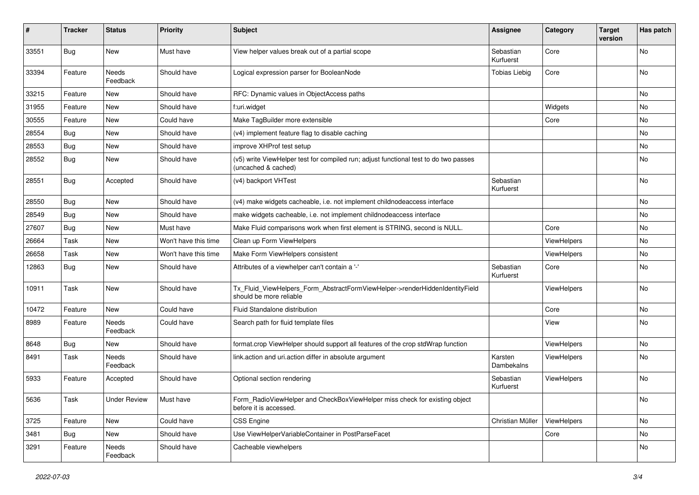| #     | <b>Tracker</b> | <b>Status</b>       | <b>Priority</b>      | <b>Subject</b>                                                                                              | <b>Assignee</b>        | Category    | <b>Target</b><br>version | Has patch |
|-------|----------------|---------------------|----------------------|-------------------------------------------------------------------------------------------------------------|------------------------|-------------|--------------------------|-----------|
| 33551 | Bug            | New                 | Must have            | View helper values break out of a partial scope                                                             | Sebastian<br>Kurfuerst | Core        |                          | No        |
| 33394 | Feature        | Needs<br>Feedback   | Should have          | Logical expression parser for BooleanNode                                                                   | <b>Tobias Liebig</b>   | Core        |                          | No        |
| 33215 | Feature        | New                 | Should have          | RFC: Dynamic values in ObjectAccess paths                                                                   |                        |             |                          | No        |
| 31955 | Feature        | New                 | Should have          | f:uri.widget                                                                                                |                        | Widgets     |                          | No        |
| 30555 | Feature        | New                 | Could have           | Make TagBuilder more extensible                                                                             |                        | Core        |                          | No        |
| 28554 | Bug            | New                 | Should have          | (v4) implement feature flag to disable caching                                                              |                        |             |                          | No        |
| 28553 | Bug            | New                 | Should have          | improve XHProf test setup                                                                                   |                        |             |                          | No        |
| 28552 | Bug            | New                 | Should have          | (v5) write ViewHelper test for compiled run; adjust functional test to do two passes<br>(uncached & cached) |                        |             |                          | No        |
| 28551 | Bug            | Accepted            | Should have          | (v4) backport VHTest                                                                                        | Sebastian<br>Kurfuerst |             |                          | <b>No</b> |
| 28550 | Bug            | New                 | Should have          | (v4) make widgets cacheable, i.e. not implement childnodeaccess interface                                   |                        |             |                          | No        |
| 28549 | Bug            | New                 | Should have          | make widgets cacheable, i.e. not implement childnodeaccess interface                                        |                        |             |                          | No        |
| 27607 | Bug            | New                 | Must have            | Make Fluid comparisons work when first element is STRING, second is NULL.                                   |                        | Core        |                          | No        |
| 26664 | Task           | New                 | Won't have this time | Clean up Form ViewHelpers                                                                                   |                        | ViewHelpers |                          | No        |
| 26658 | Task           | New                 | Won't have this time | Make Form ViewHelpers consistent                                                                            |                        | ViewHelpers |                          | <b>No</b> |
| 12863 | Bug            | New                 | Should have          | Attributes of a viewhelper can't contain a '-'                                                              | Sebastian<br>Kurfuerst | Core        |                          | No        |
| 10911 | Task           | New                 | Should have          | Tx_Fluid_ViewHelpers_Form_AbstractFormViewHelper->renderHiddenIdentityField<br>should be more reliable      |                        | ViewHelpers |                          | No        |
| 10472 | Feature        | New                 | Could have           | Fluid Standalone distribution                                                                               |                        | Core        |                          | No        |
| 8989  | Feature        | Needs<br>Feedback   | Could have           | Search path for fluid template files                                                                        |                        | View        |                          | No        |
| 8648  | Bug            | New                 | Should have          | format.crop ViewHelper should support all features of the crop stdWrap function                             |                        | ViewHelpers |                          | No        |
| 8491  | Task           | Needs<br>Feedback   | Should have          | link.action and uri.action differ in absolute argument                                                      | Karsten<br>Dambekalns  | ViewHelpers |                          | No        |
| 5933  | Feature        | Accepted            | Should have          | Optional section rendering                                                                                  | Sebastian<br>Kurfuerst | ViewHelpers |                          | No        |
| 5636  | Task           | <b>Under Review</b> | Must have            | Form_RadioViewHelper and CheckBoxViewHelper miss check for existing object<br>before it is accessed.        |                        |             |                          | No        |
| 3725  | Feature        | New                 | Could have           | <b>CSS Engine</b>                                                                                           | Christian Müller       | ViewHelpers |                          | No        |
| 3481  | Bug            | New                 | Should have          | Use ViewHelperVariableContainer in PostParseFacet                                                           |                        | Core        |                          | No        |
| 3291  | Feature        | Needs<br>Feedback   | Should have          | Cacheable viewhelpers                                                                                       |                        |             |                          | No        |